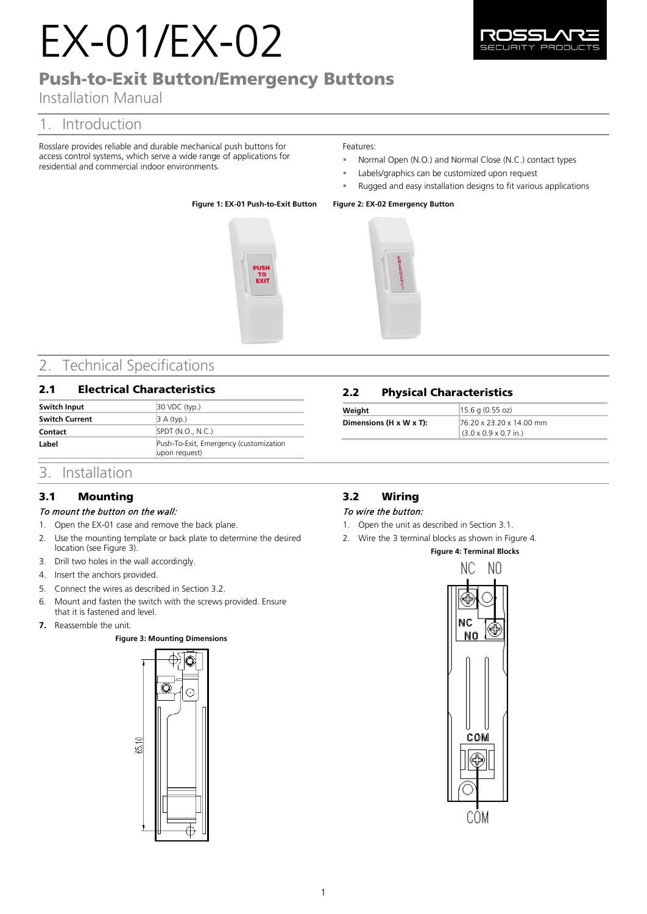# EX-01/EX-02

# Push-to-Exit Button/Emergency Buttons

# Installation Manual

# 1. Introduction

Rosslare provides reliable and durable mechanical push buttons for access control systems, which serve a wide range of applications for residential and commercial indoor environments.

### Features:

- Normal Open (N.O.) and Normal Close (N.C.) contact types
- Labels/graphics can be customized upon request
- Rugged and easy installation designs to fit various applications

### **Figure 1: EX-01 Push-to-Exit Button Figure 2: EX-02 Emergency Button**





# 2. Technical Specifications

### 2.1 Electrical Characteristics

| Switch Input          | $30$ VDC (typ.)                                         |
|-----------------------|---------------------------------------------------------|
| <b>Switch Current</b> | $\vert$ 3 A (typ.)                                      |
| Contact               | SPDT (N.O., N.C.)                                       |
| Label                 | Push-To-Exit, Emergency (customization<br>upon request) |

### 2.2 Physical Characteristics

| Weight                  | $15.6$ g (0.55 oz)                 |
|-------------------------|------------------------------------|
| Dimensions (H x W x T): | 76.20 x 23.20 x 14.00 mm           |
|                         | $(3.0 \times 0.9 \times 0.7)$ in.) |

## 3. Installation

## <span id="page-0-2"></span>3.1 Mounting

### To mount the button on the wall:

- 1. Open the EX-01 case and remove the back plane.
- 2. Use the mounting template or back plate to determine the desired location (see [Figure 3\)](#page-0-0).
- 3. Drill two holes in the wall accordingly.
- 4. Insert the anchors provided.
- 5. Connect the wires as described in Section [3.2.](#page-0-1)
- 6. Mount and fasten the switch with the screws provided. Ensure
- that it is fastened and level.
- <span id="page-0-0"></span>**7.** Reassemble the unit.

### **Figure 3: Mounting Dimensions**



# <span id="page-0-1"></span>3.2 Wiring

### To wire the button:

- 1. Open the unit as described in Section [3.1.](#page-0-2)
- <span id="page-0-3"></span>2. Wire the 3 terminal blocks as shown in [Figure 4.](#page-0-3)

## **Figure 4: Terminal Blocks**